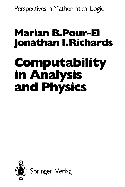Perspectives in Mathematical Logic

## **Marian B. Pour-El Jonathan I. Richards**

# **Computability in Analysis and Physics**

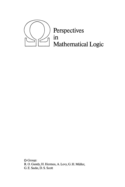

### **Perspectives** in Mathematical Logic

 Group: R. O. Gandy, H. Hermes, A. Levy, G. H. Mϋller, G.E. Sacks, D.S.Scott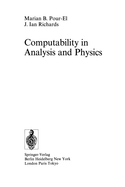Marian B. Pour-El J. Ian Richards

## Computability in Analysis and Physics



Springer-Verlag Berlin Heidelberg New York London Paris Tokyo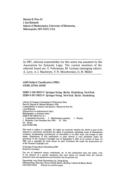Marian B. Pour-El J. Ian Richards School of Mathematics, University of Minnesota, Minneapolis, MN 55455, USA

In 1987, editorial responsibility for this series was assumed by the Association for Sympolic Logic. The current members of the editorial board are: S. Fefermann, M. Lerman (managing editor), A. Levy, A. J. Maclntyre, Y. N. Moschovakis, G. H. Mύller

AMS Subject Classification (1980): 03D80,03F60,46N05

ISBN 3-540-50035-9 Springer-Verlag Berlin Heidelberg NewYork ISBN 0-387-50035-9 Springer-Verlag NewYork Berlin Heidelberg

Library of Congress Cataloging-in-Publication Data Pour-El, Marian B. (Marian Boykan), 1928 Computability in analysis and physics / Marian B. Pour-El, J.Ian Richards. (Perspectives in mathematical logic) Bibliography: p. Includes index. ISBN 0-387-50035-9 (U.S.) 2. Mathematical analysis. 3. Physics. I. Richards, J.Ian (Jonathan Ian, 1936-. II. Title. III. Series. QA9.59.P68 1988

This work is subject to copyright. All rights are reserved, whether the whole or part of the material is concerned, specifically the rights of translation, reprinting, reuse of illustrations, recitation, broadcasting, reproduction on microfilms or in other ways, and storage in data banks. Duplication of this publication or parts thereof is only permitted under the provisions of the German Copyright Law of September 9, 1965, in its version of June, 24, 1985, and a copyright fee must always be paid. Violations fall under the prosecution act of the German Copyright Law.

© Springer-Verlag, Berlin Heidelberg 1989 Printed in Germany

The use of registered names, trademarks, etc. in this publication does not imply, even in the absence of a specific statement, that such names are exempt from the relevant protective laws and regulations and therefore free for general use.

Typesetting: Asco Trade Typesetting Ltd., Hong Kong; Offsetprinting: Mercedes-Druck GmbH, Berlin; Binding: Lüderitz & Bauer, Berlin<br>2141/3020-543210 Printed on acid-free paper Printed on acid-free paper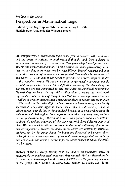#### *Preface to the Series* Perspectives in Mathematical Logic

(Edited by the  $\Omega$ -group for "Mathematische Logik" of the Heidelberger Akademie der Wissenschaften)

On Perspectives. *Mathematical logic arose from a concern with the nature and the limits of rational or mathematical thought, and from a desire to systematise the modes of its expression. The pioneering investigations were diverse and largely autonomous. As time passed, and more particularly in the last two decades, interconnections between different lines of research and links with other branches of mathematics proliferated. The subject is now both rich and varied. It is the aim of the series to provide, as it were, maps of guides to this complex terrain. We shall not aim at encyclopaedic coverage; nor do we wish to prescribe, like Euclid, a definitive version of the elements of the subject. We are not committed to any particular philosophical programme. Nevertheless we have tried by critical discussion to ensure that each book represents a coherent line of thought; and that, by developing certain* themes, *it will be of greater interest than a mere assemblage of results and techniques.*

*The books in the series differ in level: some are introductory, some highly specialised. They also differ in scope: some offer a wide view of an area, others present a single line of thought. Each book is, at its own level, reasonably self-contained. Although no book depends on another as prerequisite, we have encouraged authors to fit their book in with other planned volumes, sometimes deliberately seeking coverage of the same material from different points of view. We have tried to attain a reasonable degree of uniformity of notation and arrangement. However, the books in the series are written by individual authors, not by the group. Plans for books are discussed and argued about at length. Later, encouragement is given and revisions suggested. But it is the authors who do the work; if, as we hope, the series proves of value, the credit will be theirs.*

History of the Ω-Group. *During 1968 the idea of an integrated series of monographs on mathematical logic was first mooted. Various discussions led to a meeting at Oberwolfach in the spring of 1969. Here the founding members of the group (R.O. Gandy, A. Levy, G.H. Mύller, G. Sacks, D.S. Scott)*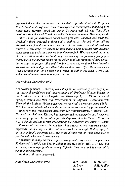*discussed the project in earnest and decided to go ahead with it. Professor F.K. Schmidt and Professor Hans Hermes gave us encouragement and support. Later Hans Hermes joined the group. To begin with all was fluid. How ambitious should we be? Should we write the books ourselves? How long would it take? Plans for authorless books were promoted, savaged and scrapped. Gradually there emerged a form and a method. At the end of an infinite discussion we found our name, and that of the series. We established our centre in Heidelberg. We agreed to meet twice a year together with authors, consultants and assistants, generally in Oberwolfach. We soon found the value of collaboration: on the one hand the permanence of the founding group gave coherence to the overall plans; on the other hand the stimulus of new contributors kept the project alive and flexible. Above all, we found how intensive discussion could modify the authors' ideas and our own. Often the battle ended with a detailed plan for a better book which the author was keen to write and which would indeed contribute a perspective.*

*Oberwolfach, September 1975*

Acknowledgements. *In starting our enterprise we essentially were relying on the personal confidence and understanding of Professor Martin Earner of the Mathematisches Forschungsinstitut Oberwolfach, Dr. Klaus Peters of Springer-Verlag and Dipl.-Ing. Penschuck of the Stiftung Volkswagenwerk. Through the Stiftung Volkswagenwerk we received a generous grant (1970- 1973) as an initial help which made our existence as a working group possible.*

*Since 1974 the Heίdelberger Akademie der Wίssenschaften (Mathematisch-Naturwissenschaftliche Klasse) has incorporated our enterprise into its general scientific program. The initiative for this step was taken by the late Professor F.K. Schmidt, and the former President of the Academy, Professor W. Doerr.*

*Through all the years, the Academy has supported our research project, especially our meetings and the continuous work on the Logic Bibliography, in an outstandingly generous way. We could always rely on their readiness to provide help wherever it was needed.*

*Assistance in many various respects was provided by Drs. U. Feigner and K. Gloede (till 1975) and Drs. D. Schmidt and H. Zeίtler (till 1979). Last but not least, our indefatigable secretary Elfriede Ihrig was and is essential in running our enterprise.*

*We thank all those concerned.*

*Heidelberg, September 1982* 

| $R.O.$ Gandy | H. Hermes   |
|--------------|-------------|
| A. Levy      | G.H. Müller |
| G. Sacks     | D.S. Scott  |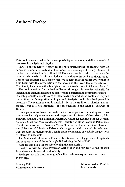#### Authors' Preface

This book is concerned with the computability or noncomputability of standard processes in analysis and physics.

Part I is introductory. It provides the basic prerequisites for reading research papers in computable analysis (at least when the reasoning is classical). The core of the book is contained in Parts II and III. Great care has been taken to motivate the material adequately. In this regard, the introduction to the book and the introduc tions to the chapters play a major role. We suggest that the reader who wishes to skim begin with the introduction to the book and then read the introductions to Chapters 2, 3, and 4—with a brief glance at the introductions to Chapters 0 and 1.

The book is written for a mixed audience. Although it is intended primarily for logicians and analysts, it should be of interest to physicists and computer scientists in fact to graduate students in any of these fields. The work is self-contained. Beyond the section on Prerequisites in Logic and Analysis, no further background is necessary. The reasoning used is classical—i.e. in the tradition of classical mathe matics. Thus it is not intuitionist or constructivist in the sense of Brouwer or Bishop.

It is a pleasure to thank our mathematical colleagues for stimulating conversa tions as well as helpful comments and suggestions: Professors Oliver Aberth, John Baldwin, William Craig, Solomon Feferman, Alexander Kechris, Manuel Lerman, Saunders MacLane, Yiannis Moschovakis, Jack Silver, Dana Scott and Pat Suppes. Thanks are also due to Professor Yoshi Oono of the Department of Physics of the University of Illinois in Urbana, who, together with some of his colleagues, went through the manuscript in a seminar and commented extensively on questions of interest to physicists.

The Mathematical Sciences Research Institute at Berkeley provided hospitality and support to one of the authors (M.B.P.) during the fall of 1985.

Kate Houser did a superb job of typing the manuscript.

Finally, we wish to thank Professor Gert Mϋller and Springer-Verlag for their help above and beyond the call of duty.

We hope that this short monograph will provide an easy entrance into research in this area.

Minneapolis, Minnesota **Ian Richards** 

January 1988 Marian Boykan Pour-El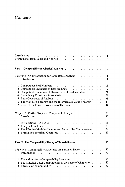#### **Contents**

|                                                                                                                                                                                                                                                |  |  | $\mathbf{1}$ |
|------------------------------------------------------------------------------------------------------------------------------------------------------------------------------------------------------------------------------------------------|--|--|--------------|
| Prerequisites from Logic and Analysis                                                                                                                                                                                                          |  |  | 6            |
| Part I. Computability in Classical Analysis                                                                                                                                                                                                    |  |  | 9            |
| Chapter 0. An Introduction to Computable Analysis                                                                                                                                                                                              |  |  | 11           |
| Introduction                                                                                                                                                                                                                                   |  |  | 11           |
|                                                                                                                                                                                                                                                |  |  | 13           |
| 2. Computable Sequences of Real Numbers                                                                                                                                                                                                        |  |  | 17           |
| 3. Computable Functions of One or Several Real Variables                                                                                                                                                                                       |  |  | 24           |
| 4. Preliminary Constructs in Analysis                                                                                                                                                                                                          |  |  | 28           |
|                                                                                                                                                                                                                                                |  |  | 33           |
| 6. The Max-Min Theorem and the Intermediate Value Theorem                                                                                                                                                                                      |  |  | 40           |
| 7. Proof of the Effective Weierstrass Theorem                                                                                                                                                                                                  |  |  | 44           |
|                                                                                                                                                                                                                                                |  |  |              |
| Chapter 1. Further Topics in Computable Analysis                                                                                                                                                                                               |  |  | 50           |
| Introduction<br>and the company of the company of the company of the company of the company of the company of the company of the company of the company of the company of the company of the company of the company of the company of the comp |  |  | 50           |
|                                                                                                                                                                                                                                                |  |  | 51           |
|                                                                                                                                                                                                                                                |  |  | 59           |
| 3. The Effective Modulus Lemma and Some of Its Consequences                                                                                                                                                                                    |  |  | 64           |
| 4. Translation Invariant Operators                                                                                                                                                                                                             |  |  | 69           |
|                                                                                                                                                                                                                                                |  |  |              |
| Part II. The Computability Theory of Banach Spaces<br>$\begin{array}{cccccccccccccc} . & . & . & . & . & . & . & . & . & . \end{array}$                                                                                                        |  |  | 75           |
| Chapter 2. Computability Structures on a Banach Space                                                                                                                                                                                          |  |  | 77           |
| Introduction                                                                                                                                                                                                                                   |  |  | 77           |
| 1. The Axioms for a Computability Structure                                                                                                                                                                                                    |  |  | 80           |
|                                                                                                                                                                                                                                                |  |  | 82           |
| 2. The Classical Case: Computability in the Sense of Chapter $0 \dots$ .                                                                                                                                                                       |  |  |              |
|                                                                                                                                                                                                                                                |  |  | 83           |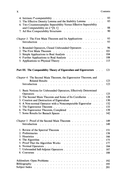|                                                                                                                                                                                                                                                                  | 85  |
|------------------------------------------------------------------------------------------------------------------------------------------------------------------------------------------------------------------------------------------------------------------|-----|
| 5. The Effective Density Lemma and the Stability Lemma                                                                                                                                                                                                           | 85  |
| 6. Two Counterexamples: Separability Versus Effective Separability                                                                                                                                                                                               |     |
| and Computability on $L^{\infty}[0, 1]$                                                                                                                                                                                                                          | 88  |
| 7. Ad Hoc Computability Structures                                                                                                                                                                                                                               | 90  |
|                                                                                                                                                                                                                                                                  |     |
| Chapter 3. The First Main Theorem and Its Applications                                                                                                                                                                                                           | 93  |
| Introduction<br>.<br>The contract of the contract of the contract of the contract of the contract of the contract of the contract of                                                                                                                             | 93  |
|                                                                                                                                                                                                                                                                  |     |
| 1. Bounded Operators, Closed Unbounded Operators                                                                                                                                                                                                                 | 96  |
|                                                                                                                                                                                                                                                                  | 101 |
| 3. Simple Applications to Real Analysis                                                                                                                                                                                                                          | 104 |
| 4. Further Applications to Real Analysis                                                                                                                                                                                                                         | 108 |
| 5. Applications to Physical Theory                                                                                                                                                                                                                               | 115 |
|                                                                                                                                                                                                                                                                  |     |
|                                                                                                                                                                                                                                                                  |     |
| Part III. The Computability Theory of Eigenvalues and Eigenvectors                                                                                                                                                                                               | 121 |
|                                                                                                                                                                                                                                                                  |     |
| Chapter 4. The Second Main Theorem, the Eigenvector Theorem, and                                                                                                                                                                                                 |     |
| Related Results residence and response to the results of the results of the Relation of the Relation of the Re                                                                                                                                                   | 123 |
| Introduction<br>$\frac{1}{2}$                                                                                                                                                                                                                                    | 123 |
|                                                                                                                                                                                                                                                                  |     |
| 1. Basic Notions for Unbounded Operators, Effectively Determined                                                                                                                                                                                                 |     |
| Operators                                                                                                                                                                                                                                                        | 125 |
| 2. The Second Main Theorem and Some of Its Corollaries                                                                                                                                                                                                           | 128 |
| 3. Creation and Destruction of Eigenvalues                                                                                                                                                                                                                       | 130 |
| 4. A Non-normal Operator with a Noncomputable Eigenvalue                                                                                                                                                                                                         | 132 |
| 5. The Eigenvector Theorem $\ldots$ $\ldots$ $\ldots$ $\ldots$ $\ldots$ $\ldots$ $\ldots$ $\ldots$                                                                                                                                                               | 133 |
| 6. The Eigenvector Theorem, Completed                                                                                                                                                                                                                            | 139 |
| 7. Some Results for Banach Spaces                                                                                                                                                                                                                                | 142 |
|                                                                                                                                                                                                                                                                  |     |
| Chapter 5. Proof of the Second Main Theorem                                                                                                                                                                                                                      | 149 |
| Introduction                                                                                                                                                                                                                                                     | 149 |
|                                                                                                                                                                                                                                                                  |     |
| 1. Review of the Spectral Theorem                                                                                                                                                                                                                                | 151 |
| 2. Preliminaries<br>the contract of the contract of the contract of the contract of the contract of the contract of the contract of the contract of the contract of the contract of the contract of the contract of the contract of the contract o               | 158 |
|                                                                                                                                                                                                                                                                  | 166 |
| 4. The Algorithm<br>$\mathcal{A}$ , and the set of the set of the set of $\mathcal{A}$                                                                                                                                                                           | 175 |
| 5. Proof That the Algorithm Works                                                                                                                                                                                                                                | 177 |
| 6. Normal Operators<br>$\sim$ $\sim$ $\sim$                                                                                                                                                                                                                      | 184 |
| 7. Unbounded Self-Adjoint Operators                                                                                                                                                                                                                              | 187 |
| 8. Converses                                                                                                                                                                                                                                                     | 188 |
| $\mathcal{A}$ . The set of the set of the set of the set of the set of the $\mathcal{A}$<br>$\ddot{\phantom{a}}$                                                                                                                                                 |     |
|                                                                                                                                                                                                                                                                  |     |
| Addendum: Open Problems<br>$\mathcal{A}$ , and a set of the set of the set of the set of $\mathcal{A}$                                                                                                                                                           | 192 |
| Bibliography<br>and the contract of the contract of the contract of the contract of the contract of the contract of the contract of the contract of the contract of the contract of the contract of the contract of the contract of the contra<br>$\overline{a}$ | 195 |
| Subject Index<br>a caracteristic and a caracteristic and a                                                                                                                                                                                                       | 201 |